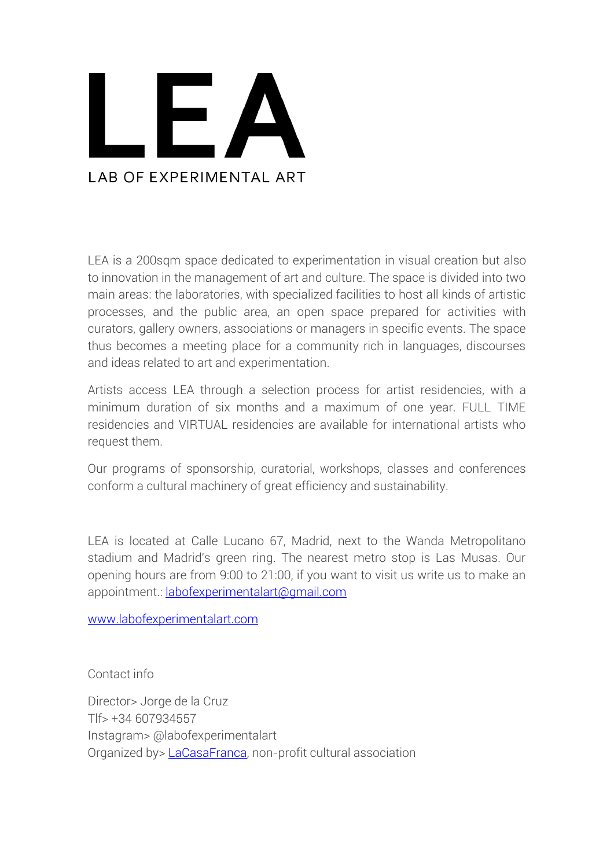

LEA is a 200sqm space dedicated to experimentation in visual creation but also to innovation in the management of art and culture. The space is divided into two main areas: the laboratories, with specialized facilities to host all kinds of artistic processes, and the public area, an open space prepared for activities with curators, gallery owners, associations or managers in specific events. The space thus becomes a meeting place for a community rich in languages, discourses and ideas related to art and experimentation.

Artists access LEA through a selection process for artist residencies, with a minimum duration of six months and a maximum of one year. FULL TIME residencies and VIRTUAL residencies are available for international artists who request them.

Our programs of sponsorship, curatorial, workshops, classes and conferences conform a cultural machinery of great efficiency and sustainability.

LEA is located at Calle Lucano 67, Madrid, next to the Wanda Metropolitano stadium and Madrid's green ring. The nearest metro stop is Las Musas. Our opening hours are from 9:00 to 21:00, if you want to visit us write us to make an appointment.: [labofexperimentalart@gmail.com](mailto:labofexperimentalart@gmail.com)

[www.labofexperimentalart.com](http://www.labofexperimentalart.com/)

Contact info

Director> Jorge de la Cruz Tlf> +34 607934557 Instagram> @labofexperimentalart Organized by > [LaCasaFranca,](https://www.lacasafranca.com/) non-profit cultural association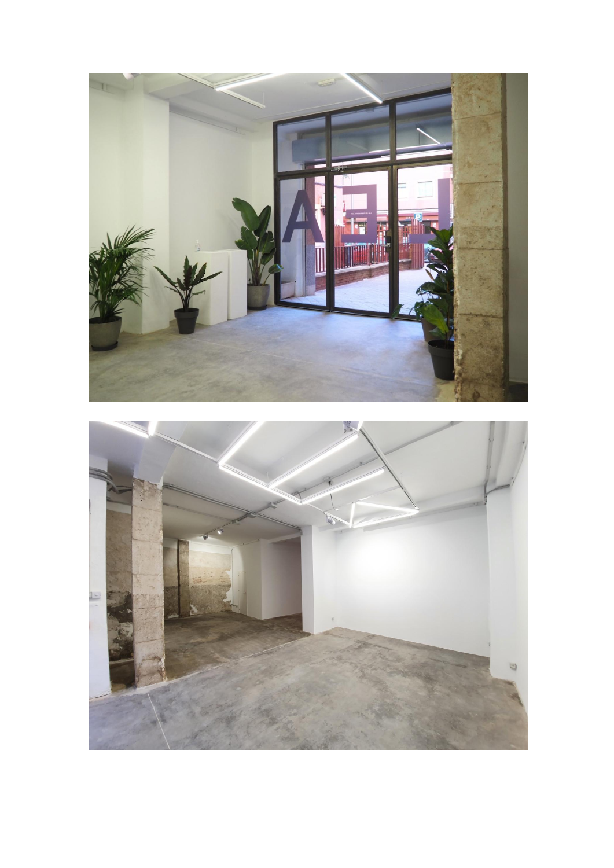